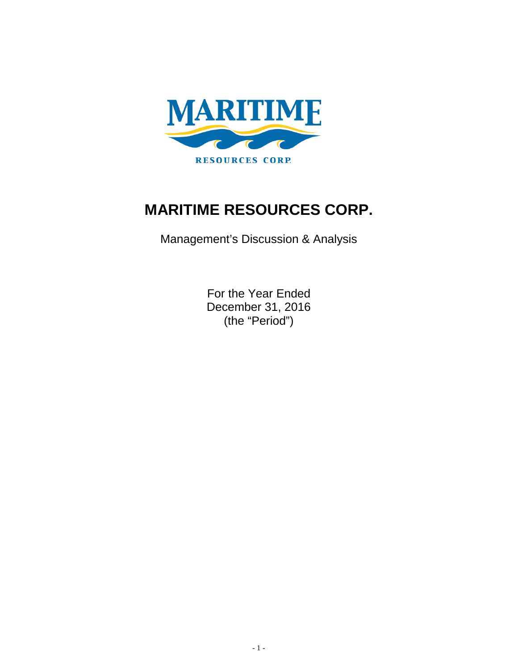

# **MARITIME RESOURCES CORP.**

Management's Discussion & Analysis

For the Year Ended December 31, 2016 (the "Period")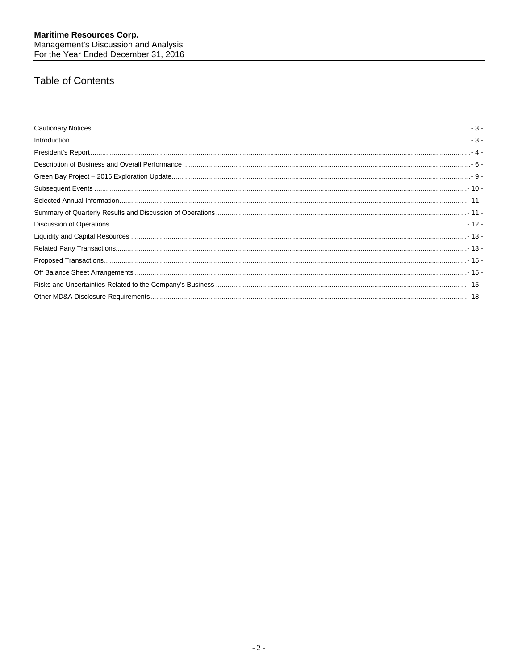## **Table of Contents**

| $\small \textsf{Introduction} \textcolor{red}{\textbf{1} \textbf{1} \textbf{1} \textbf{1} \textbf{1} \textbf{2} \textbf{3} \textbf{3} \textbf{3} \textbf{3} \textbf{4} \textbf{4} \textbf{5} \textbf{6} \textbf{6} \textbf{7} \textbf{1} \textbf{1} \textbf{2} \textbf{3} \textbf{4} \textbf{5} \textbf{4} \textbf{6} \textbf{6} \textbf{7} \textbf{1} \textbf{1} \textbf{1} \textbf{1} \textbf{1} \textbf{1} \textbf{1} \textbf{1} \text$ |
|--------------------------------------------------------------------------------------------------------------------------------------------------------------------------------------------------------------------------------------------------------------------------------------------------------------------------------------------------------------------------------------------------------------------------------------------|
|                                                                                                                                                                                                                                                                                                                                                                                                                                            |
|                                                                                                                                                                                                                                                                                                                                                                                                                                            |
|                                                                                                                                                                                                                                                                                                                                                                                                                                            |
|                                                                                                                                                                                                                                                                                                                                                                                                                                            |
|                                                                                                                                                                                                                                                                                                                                                                                                                                            |
|                                                                                                                                                                                                                                                                                                                                                                                                                                            |
|                                                                                                                                                                                                                                                                                                                                                                                                                                            |
|                                                                                                                                                                                                                                                                                                                                                                                                                                            |
|                                                                                                                                                                                                                                                                                                                                                                                                                                            |
|                                                                                                                                                                                                                                                                                                                                                                                                                                            |
|                                                                                                                                                                                                                                                                                                                                                                                                                                            |
|                                                                                                                                                                                                                                                                                                                                                                                                                                            |
|                                                                                                                                                                                                                                                                                                                                                                                                                                            |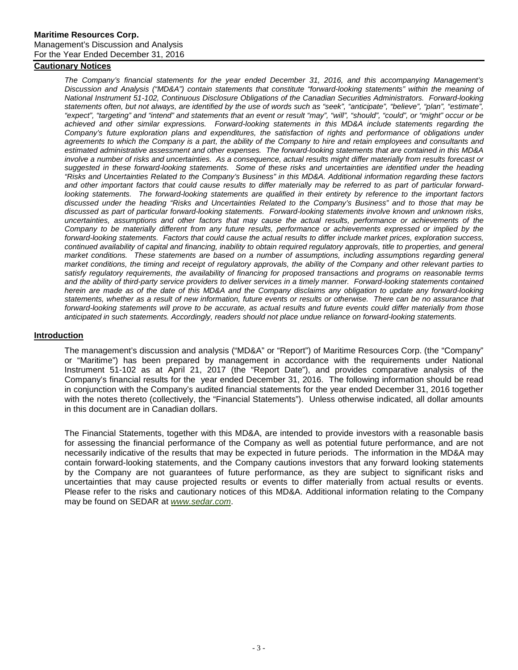## <span id="page-2-0"></span>**Cautionary Notices**

*The Company's financial statements for the year ended December 31, 2016, and this accompanying Management's Discussion and Analysis ("MD&A") contain statements that constitute "forward-looking statements" within the meaning of National Instrument 51-102, Continuous Disclosure Obligations of the Canadian Securities Administrators. Forward-looking statements often, but not always, are identified by the use of words such as "seek", "anticipate", "believe", "plan", "estimate", "expect", "targeting" and "intend" and statements that an event or result "may", "will", "should", "could", or "might" occur or be achieved and other similar expressions. Forward-looking statements in this MD&A include statements regarding the*  Company's future exploration plans and expenditures, the satisfaction of rights and performance of obligations under agreements to which the Company is a part, the ability of the Company to hire and retain employees and consultants and *estimated administrative assessment and other expenses. The forward-looking statements that are contained in this MD&A involve a number of risks and uncertainties. As a consequence, actual results might differ materially from results forecast or suggested in these forward-looking statements. Some of these risks and uncertainties are identified under the heading "Risks and Uncertainties Related to the Company's Business" in this MD&A. Additional information regarding these factors and other important factors that could cause results to differ materially may be referred to as part of particular forwardlooking statements. The forward-looking statements are qualified in their entirety by reference to the important factors discussed under the heading "Risks and Uncertainties Related to the Company's Business" and to those that may be discussed as part of particular forward-looking statements. Forward-looking statements involve known and unknown risks, uncertainties, assumptions and other factors that may cause the actual results, performance or achievements of the Company to be materially different from any future results, performance or achievements expressed or implied by the forward-looking statements. Factors that could cause the actual results to differ include market prices, exploration success, continued availability of capital and financing, inability to obtain required regulatory approvals, title to properties, and general market conditions. These statements are based on a number of assumptions, including assumptions regarding general market conditions, the timing and receipt of regulatory approvals, the ability of the Company and other relevant parties to satisfy regulatory requirements, the availability of financing for proposed transactions and programs on reasonable terms and the ability of third-party service providers to deliver services in a timely manner. Forward-looking statements contained herein are made as of the date of this MD&A and the Company disclaims any obligation to update any forward-looking statements, whether as a result of new information, future events or results or otherwise. There can be no assurance that forward-looking statements will prove to be accurate, as actual results and future events could differ materially from those anticipated in such statements. Accordingly, readers should not place undue reliance on forward-looking statements.*

#### <span id="page-2-1"></span>**Introduction**

The management's discussion and analysis ("MD&A" or "Report") of Maritime Resources Corp. (the "Company" or "Maritime") has been prepared by management in accordance with the requirements under National Instrument 51-102 as at April 21, 2017 (the "Report Date"), and provides comparative analysis of the Company's financial results for the year ended December 31, 2016. The following information should be read in conjunction with the Company's audited financial statements for the year ended December 31, 2016 together with the notes thereto (collectively, the "Financial Statements"). Unless otherwise indicated, all dollar amounts in this document are in Canadian dollars.

The Financial Statements, together with this MD&A, are intended to provide investors with a reasonable basis for assessing the financial performance of the Company as well as potential future performance, and are not necessarily indicative of the results that may be expected in future periods. The information in the MD&A may contain forward-looking statements, and the Company cautions investors that any forward looking statements by the Company are not guarantees of future performance, as they are subject to significant risks and uncertainties that may cause projected results or events to differ materially from actual results or events. Please refer to the risks and cautionary notices of this MD&A. Additional information relating to the Company may be found on SEDAR at *[www.sedar.com](http://www.sedar.com/)*.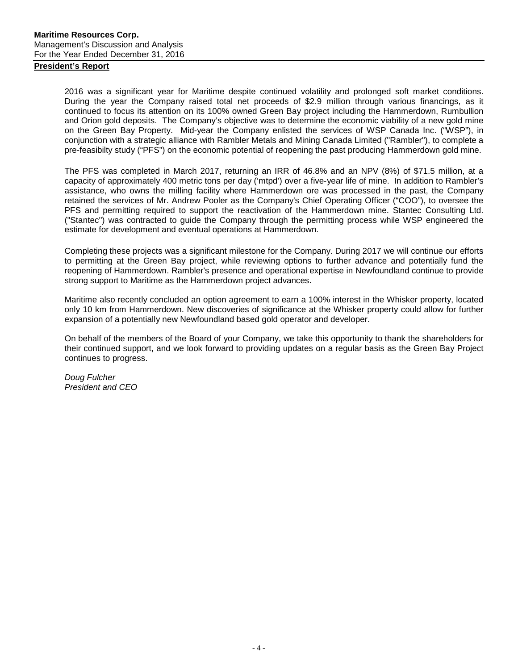## <span id="page-3-0"></span>**President's Report**

2016 was a significant year for Maritime despite continued volatility and prolonged soft market conditions. During the year the Company raised total net proceeds of \$2.9 million through various financings, as it continued to focus its attention on its 100% owned Green Bay project including the Hammerdown, Rumbullion and Orion gold deposits. The Company's objective was to determine the economic viability of a new gold mine on the Green Bay Property. Mid-year the Company enlisted the services of WSP Canada Inc. ("WSP"), in conjunction with a strategic alliance with Rambler Metals and Mining Canada Limited ("Rambler"), to complete a pre-feasibilty study ("PFS") on the economic potential of reopening the past producing Hammerdown gold mine.

The PFS was completed in March 2017, returning an IRR of 46.8% and an NPV (8%) of \$71.5 million, at a capacity of approximately 400 metric tons per day ('mtpd') over a five-year life of mine. In addition to Rambler's assistance, who owns the milling facility where Hammerdown ore was processed in the past, the Company retained the services of Mr. Andrew Pooler as the Company's Chief Operating Officer ("COO"), to oversee the PFS and permitting required to support the reactivation of the Hammerdown mine. Stantec Consulting Ltd. ("Stantec") was contracted to guide the Company through the permitting process while WSP engineered the estimate for development and eventual operations at Hammerdown.

Completing these projects was a significant milestone for the Company. During 2017 we will continue our efforts to permitting at the Green Bay project, while reviewing options to further advance and potentially fund the reopening of Hammerdown. Rambler's presence and operational expertise in Newfoundland continue to provide strong support to Maritime as the Hammerdown project advances.

Maritime also recently concluded an option agreement to earn a 100% interest in the Whisker property, located only 10 km from Hammerdown. New discoveries of significance at the Whisker property could allow for further expansion of a potentially new Newfoundland based gold operator and developer.

On behalf of the members of the Board of your Company, we take this opportunity to thank the shareholders for their continued support, and we look forward to providing updates on a regular basis as the Green Bay Project continues to progress.

*Doug Fulcher President and CEO*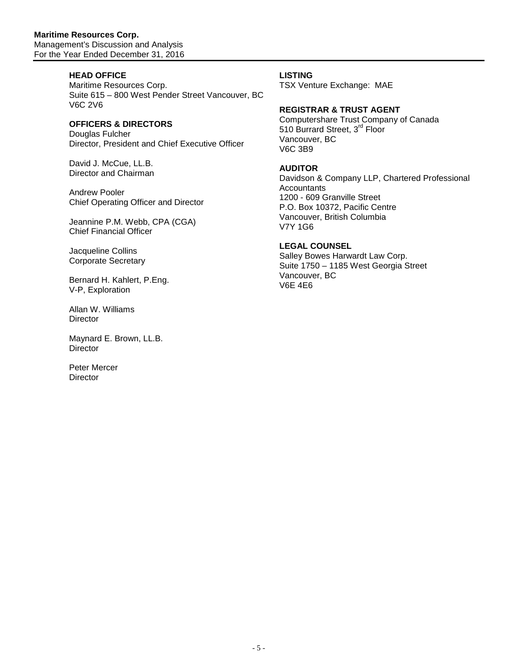## **HEAD OFFICE**

Maritime Resources Corp. Suite 615 – 800 West Pender Street Vancouver, BC V6C 2V6

## **OFFICERS & DIRECTORS**

Douglas Fulcher Director, President and Chief Executive Officer

David J. McCue, LL.B. Director and Chairman

Andrew Pooler Chief Operating Officer and Director

Jeannine P.M. Webb, CPA (CGA) Chief Financial Officer

Jacqueline Collins Corporate Secretary

Bernard H. Kahlert, P.Eng. V-P, Exploration

Allan W. Williams **Director** 

Maynard E. Brown, LL.B. **Director** 

Peter Mercer **Director** 

## **LISTING**

TSX Venture Exchange: MAE

## **REGISTRAR & TRUST AGENT**

Computershare Trust Company of Canada 510 Burrard Street, 3<sup>rd</sup> Floor Vancouver, BC V6C 3B9

## **AUDITOR**

Davidson & Company LLP, Chartered Professional **Accountants** 1200 - 609 Granville Street P.O. Box 10372, Pacific Centre Vancouver, British Columbia V7Y 1G6

## **LEGAL COUNSEL**

Salley Bowes Harwardt Law Corp. Suite 1750 – 1185 West Georgia Street Vancouver, BC V6E 4E6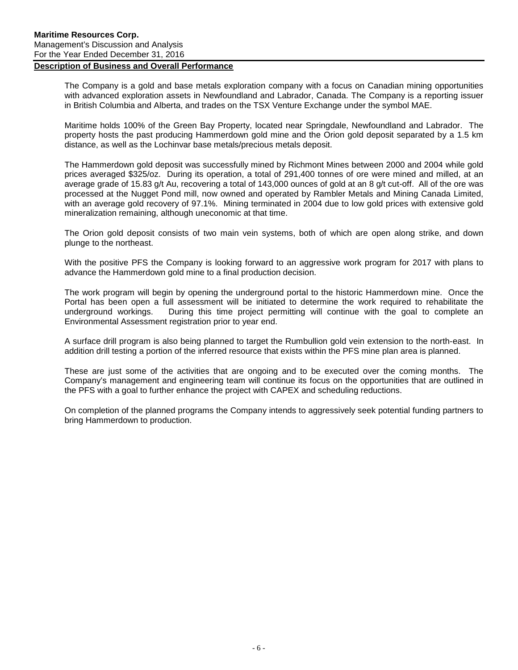## <span id="page-5-0"></span>**Description of Business and Overall Performance**

The Company is a gold and base metals exploration company with a focus on Canadian mining opportunities with advanced exploration assets in Newfoundland and Labrador, Canada. The Company is a reporting issuer in British Columbia and Alberta, and trades on the TSX Venture Exchange under the symbol MAE.

Maritime holds 100% of the Green Bay Property, located near Springdale, Newfoundland and Labrador. The property hosts the past producing Hammerdown gold mine and the Orion gold deposit separated by a 1.5 km distance, as well as the Lochinvar base metals/precious metals deposit.

The Hammerdown gold deposit was successfully mined by Richmont Mines between 2000 and 2004 while gold prices averaged \$325/oz. During its operation, a total of 291,400 tonnes of ore were mined and milled, at an average grade of 15.83 g/t Au, recovering a total of 143,000 ounces of gold at an 8 g/t cut-off. All of the ore was processed at the Nugget Pond mill, now owned and operated by Rambler Metals and Mining Canada Limited, with an average gold recovery of 97.1%. Mining terminated in 2004 due to low gold prices with extensive gold mineralization remaining, although uneconomic at that time.

The Orion gold deposit consists of two main vein systems, both of which are open along strike, and down plunge to the northeast.

With the positive PFS the Company is looking forward to an aggressive work program for 2017 with plans to advance the Hammerdown gold mine to a final production decision.

The work program will begin by opening the underground portal to the historic Hammerdown mine. Once the Portal has been open a full assessment will be initiated to determine the work required to rehabilitate the underground workings. During this time project permitting will continue with the goal to complete an Environmental Assessment registration prior to year end.

A surface drill program is also being planned to target the Rumbullion gold vein extension to the north-east. In addition drill testing a portion of the inferred resource that exists within the PFS mine plan area is planned.

These are just some of the activities that are ongoing and to be executed over the coming months. The Company's management and engineering team will continue its focus on the opportunities that are outlined in the PFS with a goal to further enhance the project with CAPEX and scheduling reductions.

On completion of the planned programs the Company intends to aggressively seek potential funding partners to bring Hammerdown to production.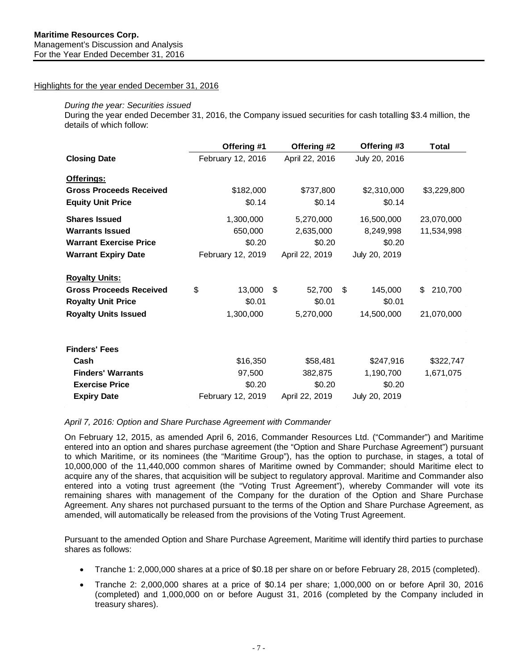## Highlights for the year ended December 31, 2016

### *During the year: Securities issued*

During the year ended December 31, 2016, the Company issued securities for cash totalling \$3.4 million, the details of which follow:

|                                | Offering #1       | Offering #2    | Offering #3   | Total         |
|--------------------------------|-------------------|----------------|---------------|---------------|
| <b>Closing Date</b>            | February 12, 2016 | April 22, 2016 | July 20, 2016 |               |
| Offerings:                     |                   |                |               |               |
| <b>Gross Proceeds Received</b> | \$182,000         | \$737,800      | \$2,310,000   | \$3,229,800   |
| <b>Equity Unit Price</b>       | \$0.14            | \$0.14         | \$0.14        |               |
| <b>Shares Issued</b>           | 1,300,000         | 5,270,000      | 16,500,000    | 23,070,000    |
| <b>Warrants Issued</b>         | 650,000           | 2,635,000      | 8,249,998     | 11,534,998    |
| <b>Warrant Exercise Price</b>  | \$0.20            | \$0.20         | \$0.20        |               |
| <b>Warrant Expiry Date</b>     | February 12, 2019 | April 22, 2019 | July 20, 2019 |               |
| <b>Royalty Units:</b>          |                   |                |               |               |
| <b>Gross Proceeds Received</b> | \$<br>13,000      | \$<br>52,700   | \$<br>145,000 | 210,700<br>\$ |
| <b>Royalty Unit Price</b>      | \$0.01            | \$0.01         | \$0.01        |               |
| <b>Royalty Units Issued</b>    | 1,300,000         | 5,270,000      | 14,500,000    | 21,070,000    |
| <b>Finders' Fees</b>           |                   |                |               |               |
| Cash                           | \$16,350          | \$58,481       | \$247,916     | \$322,747     |
| <b>Finders' Warrants</b>       | 97,500            | 382,875        | 1,190,700     | 1,671,075     |
| <b>Exercise Price</b>          | \$0.20            | \$0.20         | \$0.20        |               |
| <b>Expiry Date</b>             | February 12, 2019 | April 22, 2019 | July 20, 2019 |               |

*April 7, 2016: Option and Share Purchase Agreement with Commander*

On February 12, 2015, as amended April 6, 2016, Commander Resources Ltd. ("Commander") and Maritime entered into an option and shares purchase agreement (the "Option and Share Purchase Agreement") pursuant to which Maritime, or its nominees (the "Maritime Group"), has the option to purchase, in stages, a total of 10,000,000 of the 11,440,000 common shares of Maritime owned by Commander; should Maritime elect to acquire any of the shares, that acquisition will be subject to regulatory approval. Maritime and Commander also entered into a voting trust agreement (the "Voting Trust Agreement"), whereby Commander will vote its remaining shares with management of the Company for the duration of the Option and Share Purchase Agreement. Any shares not purchased pursuant to the terms of the Option and Share Purchase Agreement, as amended, will automatically be released from the provisions of the Voting Trust Agreement.

Pursuant to the amended Option and Share Purchase Agreement, Maritime will identify third parties to purchase shares as follows:

- Tranche 1: 2,000,000 shares at a price of \$0.18 per share on or before February 28, 2015 (completed).
- Tranche 2: 2,000,000 shares at a price of \$0.14 per share; 1,000,000 on or before April 30, 2016 (completed) and 1,000,000 on or before August 31, 2016 (completed by the Company included in treasury shares).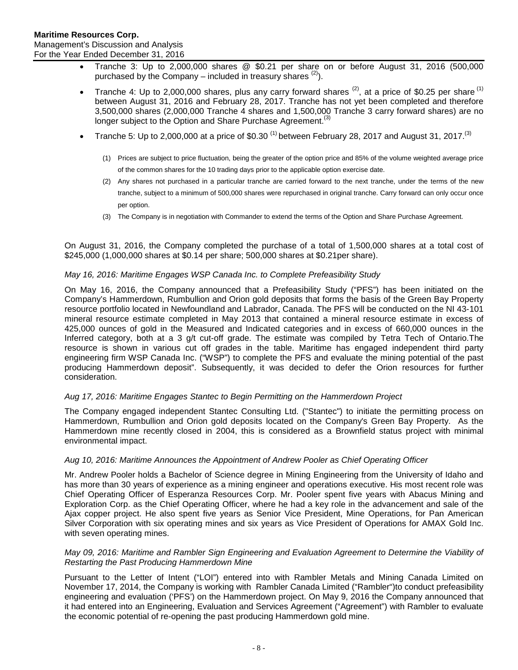- Tranche 3: Up to 2,000,000 shares @ \$0.21 per share on or before August 31, 2016 (500,000 purchased by the Company – included in treasury shares  $(2)$ ).
- Tranche 4: Up to 2,000,000 shares, plus any carry forward shares  $(2)$ , at a price of \$0.25 per share  $(1)$ between August 31, 2016 and February 28, 2017. Tranche has not yet been completed and therefore 3,500,000 shares (2,000,000 Tranche 4 shares and 1,500,000 Tranche 3 carry forward shares) are no longer subject to the Option and Share Purchase Agreement.<sup>(3)</sup>
- Tranche 5: Up to 2,000,000 at a price of \$0.30<sup>(1)</sup> between February 28, 2017 and August 31, 2017.<sup>(3)</sup>
	- (1) Prices are subject to price fluctuation, being the greater of the option price and 85% of the volume weighted average price of the common shares for the 10 trading days prior to the applicable option exercise date.
	- (2) Any shares not purchased in a particular tranche are carried forward to the next tranche, under the terms of the new tranche, subject to a minimum of 500,000 shares were repurchased in original tranche. Carry forward can only occur once per option.
	- (3) The Company is in negotiation with Commander to extend the terms of the Option and Share Purchase Agreement.

On August 31, 2016, the Company completed the purchase of a total of 1,500,000 shares at a total cost of \$245,000 (1,000,000 shares at \$0.14 per share; 500,000 shares at \$0.21per share).

## *May 16, 2016: [Maritime Engages WSP Canada Inc. to Complete Prefeasibility Study](http://www.maritimeresourcescorp.com/s/newsreleases.asp?ReportID=749029)*

On May 16, 2016, the Company announced that a Prefeasibility Study ("PFS") has been initiated on the Company's Hammerdown, Rumbullion and Orion gold deposits that forms the basis of the Green Bay Property resource portfolio located in Newfoundland and Labrador, Canada. The PFS will be conducted on the NI 43-101 mineral resource estimate completed in May 2013 that contained a mineral resource estimate in excess of 425,000 ounces of gold in the Measured and Indicated categories and in excess of 660,000 ounces in the Inferred category, both at a 3 g/t cut-off grade. The estimate was compiled by Tetra Tech of Ontario.The resource is shown in various cut off grades in the table. Maritime has engaged independent third party engineering firm WSP Canada Inc. ("WSP") to complete the PFS and evaluate the mining potential of the past producing Hammerdown deposit". Subsequently, it was decided to defer the Orion resources for further consideration.

## *Aug 17, 2016: [Maritime Engages Stantec to Begin Permitting on the Hammerdown Project](http://www.maritimeresourcescorp.com/s/newsreleases.asp?ReportID=760614)*

The Company engaged independent Stantec Consulting Ltd. ("Stantec") to initiate the permitting process on Hammerdown, Rumbullion and Orion gold deposits located on the Company's Green Bay Property. As the Hammerdown mine recently closed in 2004, this is considered as a Brownfield status project with minimal environmental impact.

## *Aug 10, 2016: [Maritime Announces the Appointment of Andrew Pooler as Chief Operating Officer](http://www.maritimeresourcescorp.com/s/newsreleases.asp?ReportID=759883)*

Mr. Andrew Pooler holds a Bachelor of Science degree in Mining Engineering from the University of Idaho and has more than 30 years of experience as a mining engineer and operations executive. His most recent role was Chief Operating Officer of Esperanza Resources Corp. Mr. Pooler spent five years with Abacus Mining and Exploration Corp. as the Chief Operating Officer, where he had a key role in the advancement and sale of the Ajax copper project. He also spent five years as Senior Vice President, Mine Operations, for Pan American Silver Corporation with six operating mines and six years as Vice President of Operations for AMAX Gold Inc. with seven operating mines.

### *May 09, 2016: [Maritime and Rambler Sign Engineering and Evaluation Agreement to Determine the Viability of](http://www.maritimeresourcescorp.com/s/newsreleases.asp?ReportID=748245)  [Restarting the Past Producing Hammerdown Mine](http://www.maritimeresourcescorp.com/s/newsreleases.asp?ReportID=748245)*

Pursuant to the Letter of Intent ("LOI") entered into with Rambler Metals and Mining Canada Limited on November 17, 2014, the Company is working with Rambler Canada Limited ("Rambler")to conduct prefeasibility engineering and evaluation ('PFS') on the Hammerdown project. On May 9, 2016 the Company announced that it had entered into an Engineering, Evaluation and Services Agreement ("Agreement") with Rambler to evaluate the economic potential of re-opening the past producing Hammerdown gold mine.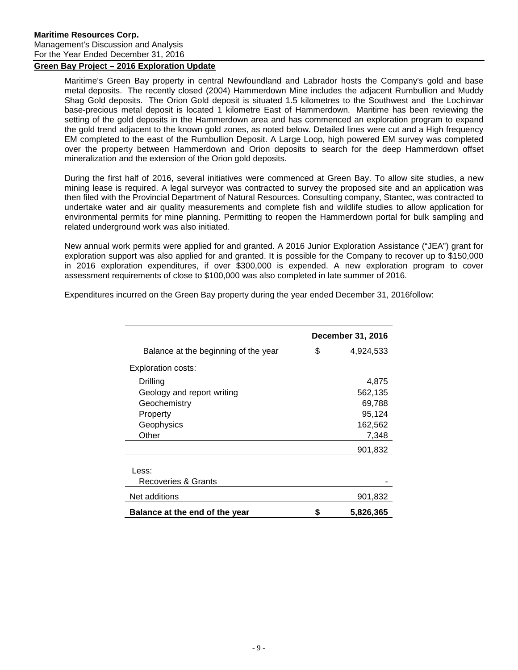## <span id="page-8-0"></span>**Green Bay Project – 2016 Exploration Update**

Maritime's Green Bay property in central Newfoundland and Labrador hosts the Company's gold and base metal deposits. The recently closed (2004) Hammerdown Mine includes the adjacent Rumbullion and Muddy Shag Gold deposits. The Orion Gold deposit is situated 1.5 kilometres to the Southwest and the Lochinvar base-precious metal deposit is located 1 kilometre East of Hammerdown. Maritime has been reviewing the setting of the gold deposits in the Hammerdown area and has commenced an exploration program to expand the gold trend adjacent to the known gold zones, as noted below. Detailed lines were cut and a High frequency EM completed to the east of the Rumbullion Deposit. A Large Loop, high powered EM survey was completed over the property between Hammerdown and Orion deposits to search for the deep Hammerdown offset mineralization and the extension of the Orion gold deposits.

During the first half of 2016, several initiatives were commenced at Green Bay. To allow site studies, a new mining lease is required. A legal surveyor was contracted to survey the proposed site and an application was then filed with the Provincial Department of Natural Resources. Consulting company, Stantec, was contracted to undertake water and air quality measurements and complete fish and wildlife studies to allow application for environmental permits for mine planning. Permitting to reopen the Hammerdown portal for bulk sampling and related underground work was also initiated.

New annual work permits were applied for and granted. A 2016 Junior Exploration Assistance ("JEA") grant for exploration support was also applied for and granted. It is possible for the Company to recover up to \$150,000 in 2016 exploration expenditures, if over \$300,000 is expended. A new exploration program to cover assessment requirements of close to \$100,000 was also completed in late summer of 2016.

Expenditures incurred on the Green Bay property during the year ended December 31, 2016follow:

|                                      | December 31, 2016 |
|--------------------------------------|-------------------|
| Balance at the beginning of the year | \$<br>4,924,533   |
| Exploration costs:                   |                   |
| Drilling                             | 4,875             |
| Geology and report writing           | 562,135           |
| Geochemistry                         | 69,788            |
| Property                             | 95,124            |
| Geophysics                           | 162,562           |
| Other                                | 7,348             |
|                                      | 901,832           |
| Less:                                |                   |
| Recoveries & Grants                  |                   |
| Net additions                        | 901,832           |
| Balance at the end of the year       | 5.826,365         |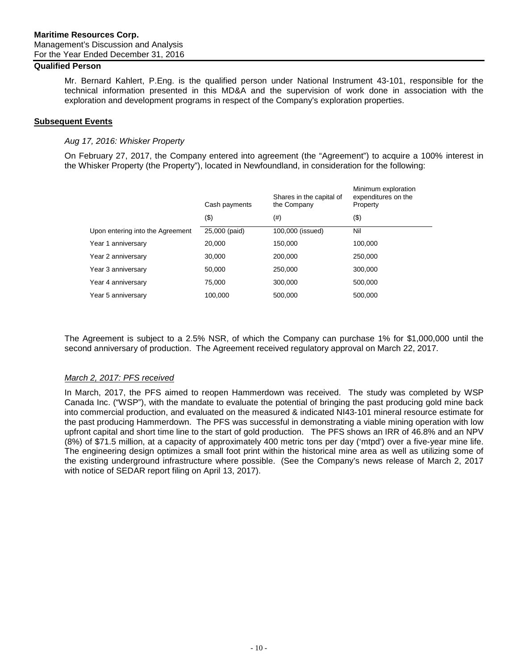## **Qualified Person**

Mr. Bernard Kahlert, P.Eng. is the qualified person under National Instrument 43-101, responsible for the technical information presented in this MD&A and the supervision of work done in association with the exploration and development programs in respect of the Company's exploration properties.

### <span id="page-9-0"></span>**Subsequent Events**

### *Aug 17, 2016: Whisker Property*

On February 27, 2017, the Company entered into agreement (the "Agreement") to acquire a 100% interest in the Whisker Property (the Property"), located in Newfoundland, in consideration for the following:

|                                  | Cash payments | Shares in the capital of<br>the Company | Minimum exploration<br>expenditures on the<br>Property |
|----------------------------------|---------------|-----------------------------------------|--------------------------------------------------------|
|                                  | (\$)          | (#)                                     | (\$)                                                   |
| Upon entering into the Agreement | 25,000 (paid) | 100,000 (issued)                        | Nil                                                    |
| Year 1 anniversary               | 20,000        | 150,000                                 | 100,000                                                |
| Year 2 anniversary               | 30,000        | 200,000                                 | 250,000                                                |
| Year 3 anniversary               | 50,000        | 250,000                                 | 300,000                                                |
| Year 4 anniversary               | 75,000        | 300,000                                 | 500,000                                                |
| Year 5 anniversary               | 100.000       | 500,000                                 | 500,000                                                |
|                                  |               |                                         |                                                        |

The Agreement is subject to a 2.5% NSR, of which the Company can purchase 1% for \$1,000,000 until the second anniversary of production. The Agreement received regulatory approval on March 22, 2017.

## *March 2, 2017: PFS received*

In March, 2017, the PFS aimed to reopen Hammerdown was received. The study was completed by WSP Canada Inc. ("WSP"), with the mandate to evaluate the potential of bringing the past producing gold mine back into commercial production, and evaluated on the measured & indicated NI43-101 mineral resource estimate for the past producing Hammerdown. The PFS was successful in demonstrating a viable mining operation with low upfront capital and short time line to the start of gold production. The PFS shows an IRR of 46.8% and an NPV (8%) of \$71.5 million, at a capacity of approximately 400 metric tons per day ('mtpd') over a five-year mine life. The engineering design optimizes a small foot print within the historical mine area as well as utilizing some of the existing underground infrastructure where possible. (See the Company's news release of March 2, 2017 with notice of SEDAR report filing on April 13, 2017).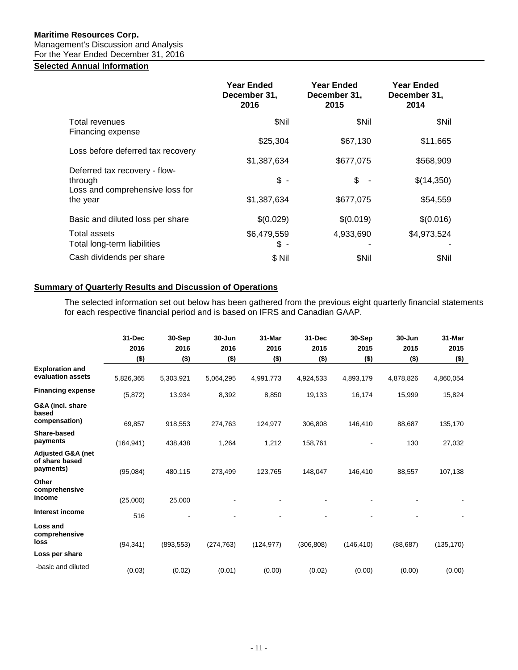## **Maritime Resources Corp.**

Management's Discussion and Analysis

## For the Year Ended December 31, 2016

## <span id="page-10-0"></span>**Selected Annual Information**

|                                                                             | <b>Year Ended</b><br>December 31,<br>2016     | <b>Year Ended</b><br>December 31,<br>2015 | <b>Year Ended</b><br>December 31,<br>2014 |
|-----------------------------------------------------------------------------|-----------------------------------------------|-------------------------------------------|-------------------------------------------|
| Total revenues<br>Financing expense                                         | \$Nil                                         | \$Nil                                     | \$Nil                                     |
| Loss before deferred tax recovery                                           | \$25,304                                      | \$67,130                                  | \$11,665                                  |
|                                                                             | \$1,387,634                                   | \$677,075                                 | \$568,909                                 |
| Deferred tax recovery - flow-<br>through<br>Loss and comprehensive loss for | $\frac{1}{2}$ -                               | \$                                        | \$(14,350)                                |
| the year                                                                    | \$1,387,634                                   | \$677,075                                 | \$54,559                                  |
| Basic and diluted loss per share                                            | \$(0.029)                                     | \$(0.019)                                 | \$(0.016)                                 |
| Total assets<br>Total long-term liabilities                                 | \$6,479,559<br>\$<br>$\overline{\phantom{a}}$ | 4,933,690                                 | \$4,973,524                               |
| Cash dividends per share                                                    | \$Nil                                         | \$Nil                                     | \$Nil                                     |

## <span id="page-10-1"></span>**Summary of Quarterly Results and Discussion of Operations**

The selected information set out below has been gathered from the previous eight quarterly financial statements for each respective financial period and is based on IFRS and Canadian GAAP.

|                                                  | 31-Dec<br>2016 | 30-Sep<br>2016 | 30-Jun<br>2016 | 31-Mar<br>2016 | 31-Dec<br>2015 | 30-Sep<br>2015 | $30 - Jun$<br>2015 | 31-Mar<br>2015 |
|--------------------------------------------------|----------------|----------------|----------------|----------------|----------------|----------------|--------------------|----------------|
|                                                  | $($ \$)        | $($ \$)        | $($ \$)        | $($ \$)        | $($ \$)        | $($ \$)        | $($ \$)            | $($ \$)        |
| <b>Exploration and</b><br>evaluation assets      | 5,826,365      | 5,303,921      | 5,064,295      | 4,991,773      | 4,924,533      | 4,893,179      | 4,878,826          | 4,860,054      |
| <b>Financing expense</b>                         | (5,872)        | 13,934         | 8,392          | 8,850          | 19,133         | 16,174         | 15,999             | 15,824         |
| G&A (incl. share<br>based                        |                |                |                |                |                |                |                    |                |
| compensation)                                    | 69,857         | 918,553        | 274,763        | 124,977        | 306,808        | 146,410        | 88,687             | 135,170        |
| Share-based<br>payments                          | (164, 941)     | 438,438        | 1,264          | 1,212          | 158,761        |                | 130                | 27,032         |
| Adjusted G&A (net<br>of share based<br>payments) | (95,084)       | 480,115        | 273,499        | 123,765        | 148,047        | 146,410        | 88,557             | 107,138        |
| Other<br>comprehensive                           |                |                |                |                |                |                |                    |                |
| income                                           | (25,000)       | 25,000         |                |                |                |                |                    |                |
| Interest income                                  | 516            |                |                |                |                |                |                    |                |
| Loss and<br>comprehensive<br>loss                | (94, 341)      | (893, 553)     | (274, 763)     | (124, 977)     | (306, 808)     | (146, 410)     | (88, 687)          | (135, 170)     |
| Loss per share                                   |                |                |                |                |                |                |                    |                |
| -basic and diluted                               | (0.03)         | (0.02)         | (0.01)         | (0.00)         | (0.02)         | (0.00)         | (0.00)             | (0.00)         |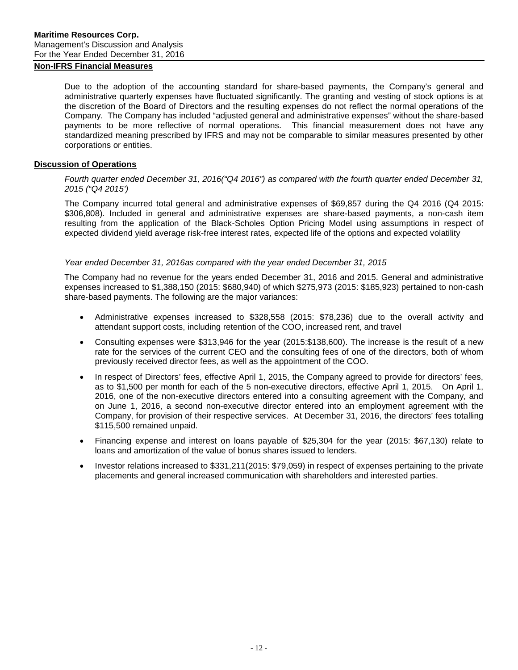## **Non-IFRS Financial Measures**

Due to the adoption of the accounting standard for share-based payments, the Company's general and administrative quarterly expenses have fluctuated significantly. The granting and vesting of stock options is at the discretion of the Board of Directors and the resulting expenses do not reflect the normal operations of the Company. The Company has included "adjusted general and administrative expenses" without the share-based payments to be more reflective of normal operations. This financial measurement does not have any standardized meaning prescribed by IFRS and may not be comparable to similar measures presented by other corporations or entities.

### <span id="page-11-0"></span>**Discussion of Operations**

### *Fourth quarter ended December 31, 2016("Q4 2016") as compared with the fourth quarter ended December 31, 2015 ("Q4 2015')*

The Company incurred total general and administrative expenses of \$69,857 during the Q4 2016 (Q4 2015: \$306,808). Included in general and administrative expenses are share-based payments, a non-cash item resulting from the application of the Black-Scholes Option Pricing Model using assumptions in respect of expected dividend yield average risk-free interest rates, expected life of the options and expected volatility

### *Year ended December 31, 2016as compared with the year ended December 31, 2015*

The Company had no revenue for the years ended December 31, 2016 and 2015. General and administrative expenses increased to \$1,388,150 (2015: \$680,940) of which \$275,973 (2015: \$185,923) pertained to non-cash share-based payments. The following are the major variances:

- Administrative expenses increased to \$328,558 (2015: \$78,236) due to the overall activity and attendant support costs, including retention of the COO, increased rent, and travel
- Consulting expenses were \$313,946 for the year (2015:\$138,600). The increase is the result of a new rate for the services of the current CEO and the consulting fees of one of the directors, both of whom previously received director fees, as well as the appointment of the COO.
- In respect of Directors' fees, effective April 1, 2015, the Company agreed to provide for directors' fees, as to \$1,500 per month for each of the 5 non-executive directors, effective April 1, 2015. On April 1, 2016, one of the non-executive directors entered into a consulting agreement with the Company, and on June 1, 2016, a second non-executive director entered into an employment agreement with the Company, for provision of their respective services. At December 31, 2016, the directors' fees totalling \$115,500 remained unpaid.
- Financing expense and interest on loans payable of \$25,304 for the year (2015: \$67,130) relate to loans and amortization of the value of bonus shares issued to lenders.
- Investor relations increased to \$331,211(2015: \$79,059) in respect of expenses pertaining to the private placements and general increased communication with shareholders and interested parties.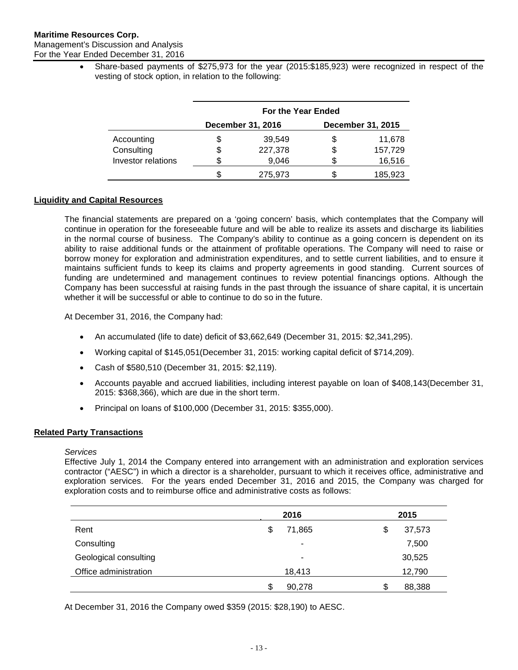For the Year Ended December 31, 2016

• Share-based payments of \$275,973 for the year (2015:\$185,923) were recognized in respect of the vesting of stock option, in relation to the following:

|                    | For the Year Ended |                          |    |                   |  |  |
|--------------------|--------------------|--------------------------|----|-------------------|--|--|
|                    |                    | <b>December 31, 2016</b> |    | December 31, 2015 |  |  |
| Accounting         | \$                 | 39,549                   | \$ | 11,678            |  |  |
| Consulting         | \$                 | 227,378                  | \$ | 157,729           |  |  |
| Investor relations |                    | 9,046                    | S  | 16,516            |  |  |
|                    |                    | 275,973                  | \$ | 185,923           |  |  |

## <span id="page-12-0"></span>**Liquidity and Capital Resources**

The financial statements are prepared on a 'going concern' basis, which contemplates that the Company will continue in operation for the foreseeable future and will be able to realize its assets and discharge its liabilities in the normal course of business. The Company's ability to continue as a going concern is dependent on its ability to raise additional funds or the attainment of profitable operations. The Company will need to raise or borrow money for exploration and administration expenditures, and to settle current liabilities, and to ensure it maintains sufficient funds to keep its claims and property agreements in good standing. Current sources of funding are undetermined and management continues to review potential financings options. Although the Company has been successful at raising funds in the past through the issuance of share capital, it is uncertain whether it will be successful or able to continue to do so in the future.

At December 31, 2016, the Company had:

- An accumulated (life to date) deficit of \$3,662,649 (December 31, 2015: \$2,341,295).
- Working capital of \$145,051(December 31, 2015: working capital deficit of \$714,209).
- Cash of \$580,510 (December 31, 2015: \$2,119).
- Accounts payable and accrued liabilities, including interest payable on loan of \$408,143(December 31, 2015: \$368,366), which are due in the short term.
- Principal on loans of \$100,000 (December 31, 2015: \$355,000).

## <span id="page-12-1"></span>**Related Party Transactions**

## *Services*

Effective July 1, 2014 the Company entered into arrangement with an administration and exploration services contractor ("AESC") in which a director is a shareholder, pursuant to which it receives office, administrative and exploration services. For the years ended December 31, 2016 and 2015, the Company was charged for exploration costs and to reimburse office and administrative costs as follows:

|                       | 2016 |        | 2015 |        |
|-----------------------|------|--------|------|--------|
| Rent                  | S    | 71,865 | \$   | 37,573 |
| Consulting            |      | ٠      |      | 7,500  |
| Geological consulting |      | ۰      |      | 30,525 |
| Office administration |      | 18,413 |      | 12,790 |
|                       | S    | 90,278 | \$   | 88,388 |

At December 31, 2016 the Company owed \$359 (2015: \$28,190) to AESC.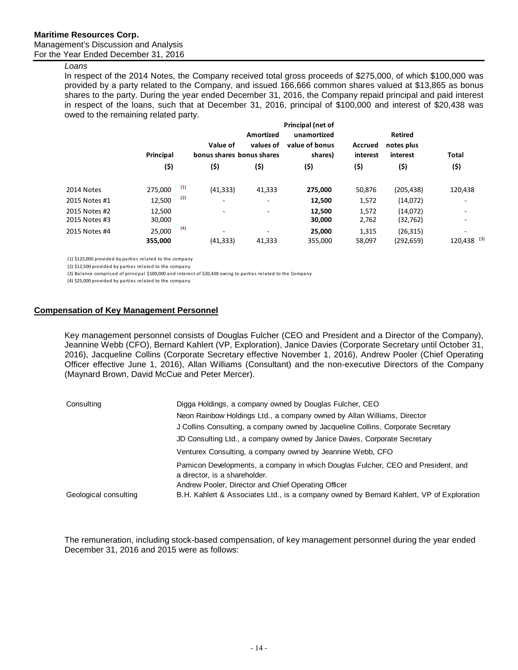## *Loans*

In respect of the 2014 Notes, the Company received total gross proceeds of \$275,000, of which \$100,000 was provided by a party related to the Company, and issued 166,666 common shares valued at \$13,865 as bonus shares to the party. During the year ended December 31, 2016, the Company repaid principal and paid interest in respect of the loans, such that at December 31, 2016, principal of \$100,000 and interest of \$20,438 was owed to the remaining related party.

|                                | Principal                | Value of<br>bonus shares bonus shares | Amortized<br>values of | Principal (net of<br>unamortized<br>value of bonus<br>shares) | <b>Accrued</b><br>interest | <b>Retired</b><br>notes plus<br>interest | Total                         |
|--------------------------------|--------------------------|---------------------------------------|------------------------|---------------------------------------------------------------|----------------------------|------------------------------------------|-------------------------------|
|                                | (\$)                     | (\$)                                  | (\$)                   | (\$)                                                          | (\$)                       | (\$)                                     | (\$)                          |
| 2014 Notes                     | (1)<br>275,000           | (41, 333)                             | 41,333                 | 275,000                                                       | 50,876                     | (205, 438)                               | 120,438                       |
| 2015 Notes #1                  | (2)<br>12,500            | ٠                                     | ٠                      | 12,500                                                        | 1,572                      | (14,072)                                 |                               |
| 2015 Notes #2<br>2015 Notes #3 | 12,500<br>30,000         | ۰                                     | ٠                      | 12,500<br>30,000                                              | 1,572<br>2,762             | (14,072)<br>(32, 762)                    | ۰<br>$\overline{\phantom{a}}$ |
| 2015 Notes #4                  | (4)<br>25,000<br>355,000 | ٠<br>(41, 333)                        | ٠<br>41,333            | 25,000<br>355,000                                             | 1,315<br>58,097            | (26, 315)<br>(292,659)                   | ۰<br>120,438 (3)              |

(1) \$125,000 provided by parties related to the company

(2) \$12,500 provided by parties related to the company

(3) Balance comprised of principal \$100,000 and interest of \$20,438 owing to parties related to the Company

(4) \$25,000 provided by parties related to the company

#### **Compensation of Key Management Personnel**

Key management personnel consists of Douglas Fulcher (CEO and President and a Director of the Company), Jeannine Webb (CFO), Bernard Kahlert (VP, Exploration), Janice Davies (Corporate Secretary until October 31, 2016), Jacqueline Collins (Corporate Secretary effective November 1, 2016), Andrew Pooler (Chief Operating Officer effective June 1, 2016), Allan Williams (Consultant) and the non-executive Directors of the Company (Maynard Brown, David McCue and Peter Mercer).

| Consulting            | Digga Holdings, a company owned by Douglas Fulcher, CEO                                                           |
|-----------------------|-------------------------------------------------------------------------------------------------------------------|
|                       | Neon Rainbow Holdings Ltd., a company owned by Allan Williams, Director                                           |
|                       | J Collins Consulting, a company owned by Jacqueline Collins, Corporate Secretary                                  |
|                       | JD Consulting Ltd., a company owned by Janice Davies, Corporate Secretary                                         |
|                       | Venturex Consulting, a company owned by Jeannine Webb, CFO                                                        |
|                       | Pamicon Developments, a company in which Douglas Fulcher, CEO and President, and<br>a director, is a shareholder. |
|                       | Andrew Pooler, Director and Chief Operating Officer                                                               |
| Geological consulting | B.H. Kahlert & Associates Ltd., is a company owned by Bernard Kahlert, VP of Exploration                          |

The remuneration, including stock-based compensation, of key management personnel during the year ended December 31, 2016 and 2015 were as follows: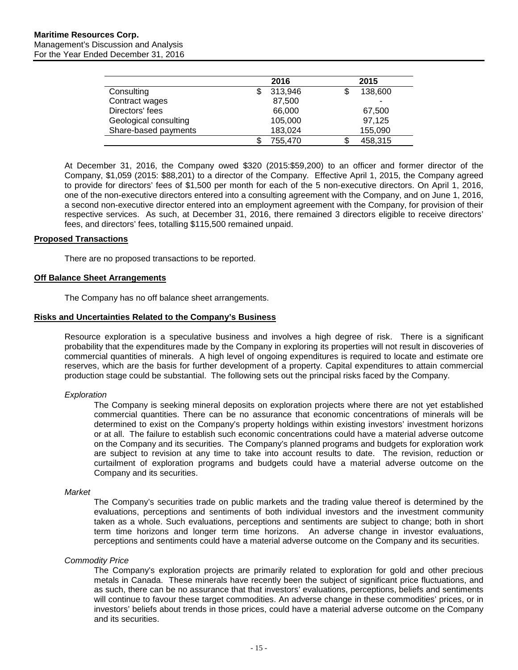|                       | 2016    | 2015         |
|-----------------------|---------|--------------|
| Consulting            | 313,946 | 138,600      |
| Contract wages        | 87,500  | -            |
| Directors' fees       | 66,000  | 67,500       |
| Geological consulting | 105,000 | 97,125       |
| Share-based payments  | 183,024 | 155,090      |
|                       | 755,470 | 458,315<br>S |

At December 31, 2016, the Company owed \$320 (2015:\$59,200) to an officer and former director of the Company, \$1,059 (2015: \$88,201) to a director of the Company. Effective April 1, 2015, the Company agreed to provide for directors' fees of \$1,500 per month for each of the 5 non-executive directors. On April 1, 2016, one of the non-executive directors entered into a consulting agreement with the Company, and on June 1, 2016, a second non-executive director entered into an employment agreement with the Company, for provision of their respective services. As such, at December 31, 2016, there remained 3 directors eligible to receive directors' fees, and directors' fees, totalling \$115,500 remained unpaid.

### <span id="page-14-0"></span>**Proposed Transactions**

There are no proposed transactions to be reported.

### <span id="page-14-1"></span>**Off Balance Sheet Arrangements**

The Company has no off balance sheet arrangements.

### <span id="page-14-2"></span>**Risks and Uncertainties Related to the Company's Business**

Resource exploration is a speculative business and involves a high degree of risk. There is a significant probability that the expenditures made by the Company in exploring its properties will not result in discoveries of commercial quantities of minerals. A high level of ongoing expenditures is required to locate and estimate ore reserves, which are the basis for further development of a property. Capital expenditures to attain commercial production stage could be substantial. The following sets out the principal risks faced by the Company.

#### *Exploration*

The Company is seeking mineral deposits on exploration projects where there are not yet established commercial quantities. There can be no assurance that economic concentrations of minerals will be determined to exist on the Company's property holdings within existing investors' investment horizons or at all. The failure to establish such economic concentrations could have a material adverse outcome on the Company and its securities. The Company's planned programs and budgets for exploration work are subject to revision at any time to take into account results to date. The revision, reduction or curtailment of exploration programs and budgets could have a material adverse outcome on the Company and its securities.

#### *Market*

The Company's securities trade on public markets and the trading value thereof is determined by the evaluations, perceptions and sentiments of both individual investors and the investment community taken as a whole. Such evaluations, perceptions and sentiments are subject to change; both in short term time horizons and longer term time horizons. An adverse change in investor evaluations, perceptions and sentiments could have a material adverse outcome on the Company and its securities.

#### *Commodity Price*

The Company's exploration projects are primarily related to exploration for gold and other precious metals in Canada. These minerals have recently been the subject of significant price fluctuations, and as such, there can be no assurance that that investors' evaluations, perceptions, beliefs and sentiments will continue to favour these target commodities. An adverse change in these commodities' prices, or in investors' beliefs about trends in those prices, could have a material adverse outcome on the Company and its securities.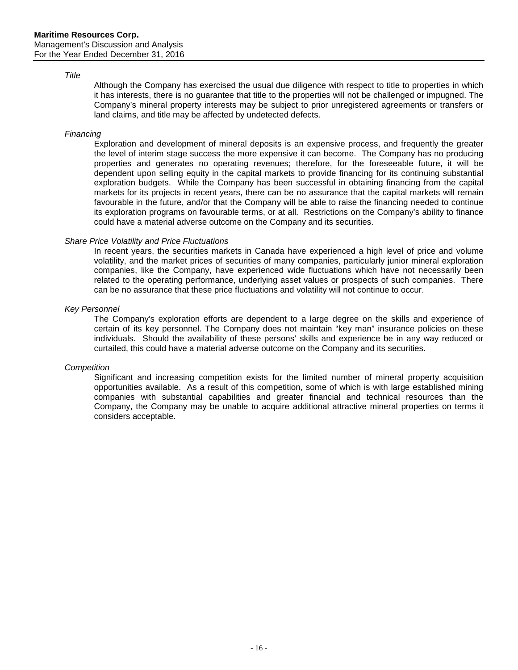#### *Title*

Although the Company has exercised the usual due diligence with respect to title to properties in which it has interests, there is no guarantee that title to the properties will not be challenged or impugned. The Company's mineral property interests may be subject to prior unregistered agreements or transfers or land claims, and title may be affected by undetected defects.

### *Financing*

Exploration and development of mineral deposits is an expensive process, and frequently the greater the level of interim stage success the more expensive it can become. The Company has no producing properties and generates no operating revenues; therefore, for the foreseeable future, it will be dependent upon selling equity in the capital markets to provide financing for its continuing substantial exploration budgets. While the Company has been successful in obtaining financing from the capital markets for its projects in recent years, there can be no assurance that the capital markets will remain favourable in the future, and/or that the Company will be able to raise the financing needed to continue its exploration programs on favourable terms, or at all. Restrictions on the Company's ability to finance could have a material adverse outcome on the Company and its securities.

### *Share Price Volatility and Price Fluctuations*

In recent years, the securities markets in Canada have experienced a high level of price and volume volatility, and the market prices of securities of many companies, particularly junior mineral exploration companies, like the Company, have experienced wide fluctuations which have not necessarily been related to the operating performance, underlying asset values or prospects of such companies. There can be no assurance that these price fluctuations and volatility will not continue to occur.

### *Key Personnel*

The Company's exploration efforts are dependent to a large degree on the skills and experience of certain of its key personnel. The Company does not maintain "key man" insurance policies on these individuals. Should the availability of these persons' skills and experience be in any way reduced or curtailed, this could have a material adverse outcome on the Company and its securities.

#### *Competition*

Significant and increasing competition exists for the limited number of mineral property acquisition opportunities available. As a result of this competition, some of which is with large established mining companies with substantial capabilities and greater financial and technical resources than the Company, the Company may be unable to acquire additional attractive mineral properties on terms it considers acceptable.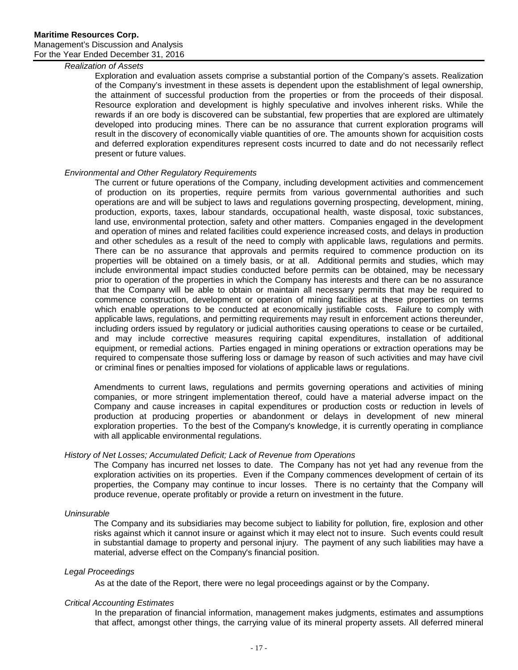## *Realization of Assets*

Exploration and evaluation assets comprise a substantial portion of the Company's assets. Realization of the Company's investment in these assets is dependent upon the establishment of legal ownership, the attainment of successful production from the properties or from the proceeds of their disposal. Resource exploration and development is highly speculative and involves inherent risks. While the rewards if an ore body is discovered can be substantial, few properties that are explored are ultimately developed into producing mines. There can be no assurance that current exploration programs will result in the discovery of economically viable quantities of ore. The amounts shown for acquisition costs and deferred exploration expenditures represent costs incurred to date and do not necessarily reflect present or future values.

## *Environmental and Other Regulatory Requirements*

The current or future operations of the Company, including development activities and commencement of production on its properties, require permits from various governmental authorities and such operations are and will be subject to laws and regulations governing prospecting, development, mining, production, exports, taxes, labour standards, occupational health, waste disposal, toxic substances, land use, environmental protection, safety and other matters. Companies engaged in the development and operation of mines and related facilities could experience increased costs, and delays in production and other schedules as a result of the need to comply with applicable laws, regulations and permits. There can be no assurance that approvals and permits required to commence production on its properties will be obtained on a timely basis, or at all. Additional permits and studies, which may include environmental impact studies conducted before permits can be obtained, may be necessary prior to operation of the properties in which the Company has interests and there can be no assurance that the Company will be able to obtain or maintain all necessary permits that may be required to commence construction, development or operation of mining facilities at these properties on terms which enable operations to be conducted at economically justifiable costs. Failure to comply with applicable laws, regulations, and permitting requirements may result in enforcement actions thereunder, including orders issued by regulatory or judicial authorities causing operations to cease or be curtailed, and may include corrective measures requiring capital expenditures, installation of additional equipment, or remedial actions. Parties engaged in mining operations or extraction operations may be required to compensate those suffering loss or damage by reason of such activities and may have civil or criminal fines or penalties imposed for violations of applicable laws or regulations.

Amendments to current laws, regulations and permits governing operations and activities of mining companies, or more stringent implementation thereof, could have a material adverse impact on the Company and cause increases in capital expenditures or production costs or reduction in levels of production at producing properties or abandonment or delays in development of new mineral exploration properties. To the best of the Company's knowledge, it is currently operating in compliance with all applicable environmental regulations.

## *History of Net Losses; Accumulated Deficit; Lack of Revenue from Operations*

The Company has incurred net losses to date. The Company has not yet had any revenue from the exploration activities on its properties. Even if the Company commences development of certain of its properties, the Company may continue to incur losses. There is no certainty that the Company will produce revenue, operate profitably or provide a return on investment in the future.

#### *Uninsurable*

The Company and its subsidiaries may become subject to liability for pollution, fire, explosion and other risks against which it cannot insure or against which it may elect not to insure. Such events could result in substantial damage to property and personal injury. The payment of any such liabilities may have a material, adverse effect on the Company's financial position.

#### *Legal Proceedings*

As at the date of the Report, there were no legal proceedings against or by the Company.

#### *Critical Accounting Estimates*

In the preparation of financial information, management makes judgments, estimates and assumptions that affect, amongst other things, the carrying value of its mineral property assets. All deferred mineral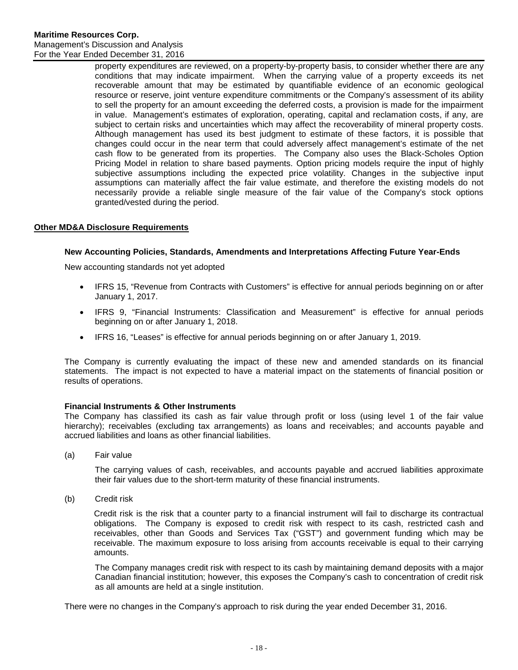property expenditures are reviewed, on a property-by-property basis, to consider whether there are any conditions that may indicate impairment. When the carrying value of a property exceeds its net recoverable amount that may be estimated by quantifiable evidence of an economic geological resource or reserve, joint venture expenditure commitments or the Company's assessment of its ability to sell the property for an amount exceeding the deferred costs, a provision is made for the impairment in value. Management's estimates of exploration, operating, capital and reclamation costs, if any, are subject to certain risks and uncertainties which may affect the recoverability of mineral property costs. Although management has used its best judgment to estimate of these factors, it is possible that changes could occur in the near term that could adversely affect management's estimate of the net cash flow to be generated from its properties. The Company also uses the Black-Scholes Option Pricing Model in relation to share based payments. Option pricing models require the input of highly subjective assumptions including the expected price volatility. Changes in the subjective input assumptions can materially affect the fair value estimate, and therefore the existing models do not necessarily provide a reliable single measure of the fair value of the Company's stock options granted/vested during the period.

## <span id="page-17-0"></span>**Other MD&A Disclosure Requirements**

## **New Accounting Policies, Standards, Amendments and Interpretations Affecting Future Year-Ends**

New accounting standards not yet adopted

- IFRS 15, "Revenue from Contracts with Customers" is effective for annual periods beginning on or after January 1, 2017.
- IFRS 9, "Financial Instruments: Classification and Measurement" is effective for annual periods beginning on or after January 1, 2018.
- IFRS 16, "Leases" is effective for annual periods beginning on or after January 1, 2019.

The Company is currently evaluating the impact of these new and amended standards on its financial statements. The impact is not expected to have a material impact on the statements of financial position or results of operations.

## **Financial Instruments & Other Instruments**

The Company has classified its cash as fair value through profit or loss (using level 1 of the fair value hierarchy); receivables (excluding tax arrangements) as loans and receivables; and accounts payable and accrued liabilities and loans as other financial liabilities.

(a) Fair value

The carrying values of cash, receivables, and accounts payable and accrued liabilities approximate their fair values due to the short-term maturity of these financial instruments.

(b) Credit risk

Credit risk is the risk that a counter party to a financial instrument will fail to discharge its contractual obligations. The Company is exposed to credit risk with respect to its cash, restricted cash and receivables, other than Goods and Services Tax ("GST") and government funding which may be receivable. The maximum exposure to loss arising from accounts receivable is equal to their carrying amounts.

The Company manages credit risk with respect to its cash by maintaining demand deposits with a major Canadian financial institution; however, this exposes the Company's cash to concentration of credit risk as all amounts are held at a single institution.

There were no changes in the Company's approach to risk during the year ended December 31, 2016.